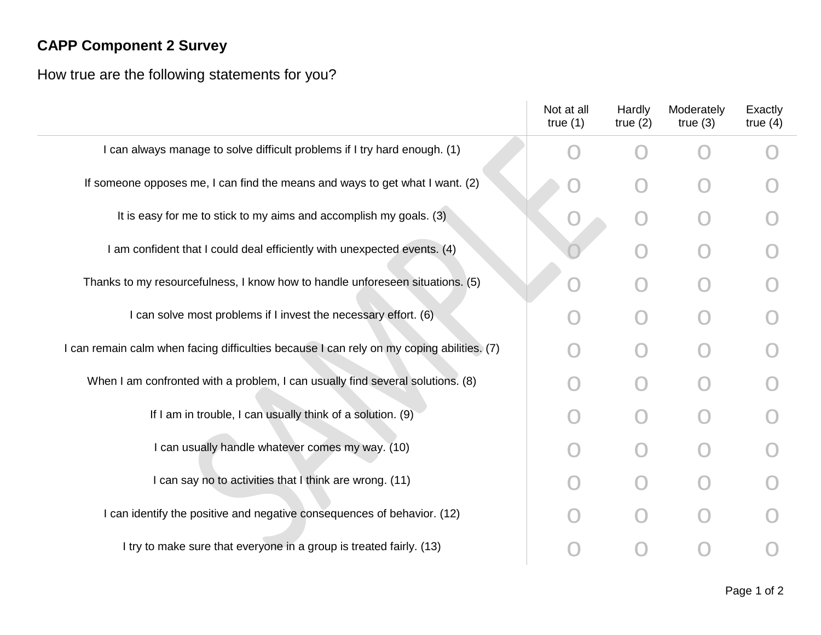## **CAPP Component 2 Survey**

How true are the following statements for you?

|                                                                                           | Not at all<br>true $(1)$ | Hardly<br>true $(2)$ | Moderately<br>true $(3)$ | Exactly<br>true $(4)$ |
|-------------------------------------------------------------------------------------------|--------------------------|----------------------|--------------------------|-----------------------|
| I can always manage to solve difficult problems if I try hard enough. (1)                 |                          |                      |                          |                       |
| If someone opposes me, I can find the means and ways to get what I want. (2)              |                          |                      |                          |                       |
| It is easy for me to stick to my aims and accomplish my goals. (3)                        |                          |                      |                          |                       |
| I am confident that I could deal efficiently with unexpected events. (4)                  |                          |                      |                          |                       |
| Thanks to my resourcefulness, I know how to handle unforeseen situations. (5)             |                          |                      |                          |                       |
| I can solve most problems if I invest the necessary effort. (6)                           |                          |                      |                          |                       |
| I can remain calm when facing difficulties because I can rely on my coping abilities. (7) |                          |                      |                          |                       |
| When I am confronted with a problem, I can usually find several solutions. (8)            |                          |                      |                          |                       |
| If I am in trouble, I can usually think of a solution. (9)                                |                          |                      |                          |                       |
| I can usually handle whatever comes my way. (10)                                          |                          |                      |                          |                       |
| I can say no to activities that I think are wrong. (11)                                   |                          |                      |                          |                       |
| I can identify the positive and negative consequences of behavior. (12)                   |                          |                      |                          |                       |
| I try to make sure that everyone in a group is treated fairly. (13)                       |                          |                      |                          |                       |